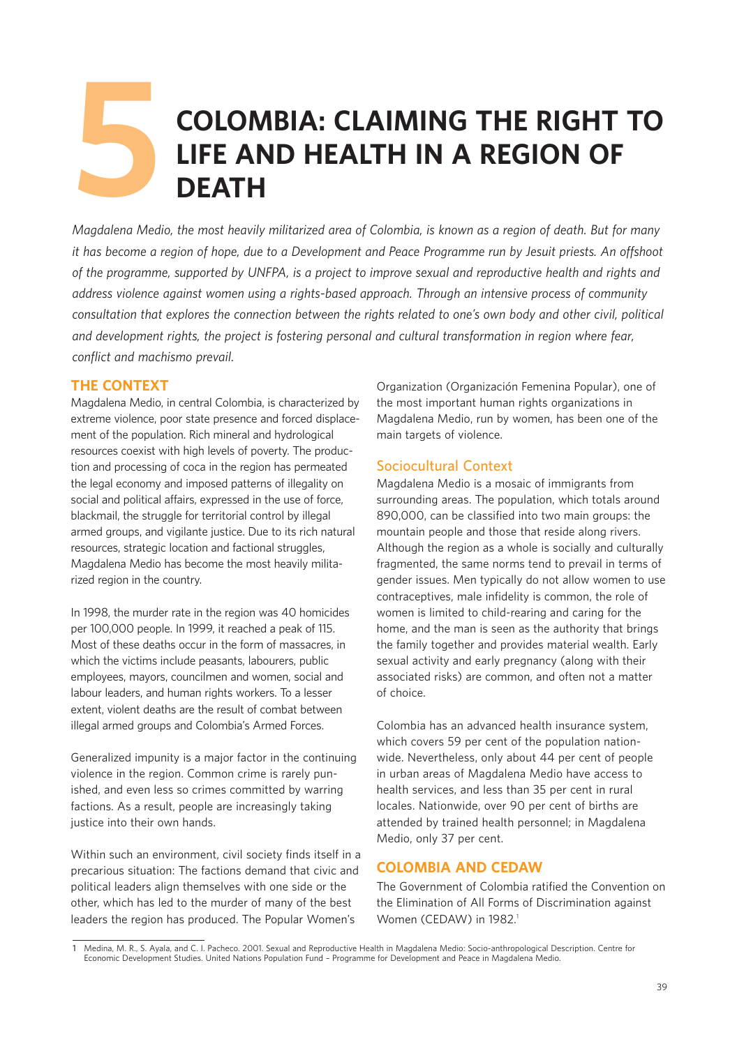# **COLOMBIA: CLAIMING THE RIGHT TO LIFE AND HEALTH IN A REGION OF DEATH 5**

*Magdalena Medio, the most heavily militarized area of Colombia, is known as a region of death. But for many it has become a region of hope, due to a Development and Peace Programme run by Jesuit priests. An offshoot of the programme, supported by UNFPA, is a project to improve sexual and reproductive health and rights and address violence against women using a rights-based approach. Through an intensive process of community consultation that explores the connection between the rights related to one's own body and other civil, political and development rights, the project is fostering personal and cultural transformation in region where fear, conflict and machismo prevail.*

# **THE CONTEXT**

Magdalena Medio, in central Colombia, is characterized by extreme violence, poor state presence and forced displacement of the population. Rich mineral and hydrological resources coexist with high levels of poverty. The production and processing of coca in the region has permeated the legal economy and imposed patterns of illegality on social and political affairs, expressed in the use of force, blackmail, the struggle for territorial control by illegal armed groups, and vigilante justice. Due to its rich natural resources, strategic location and factional struggles, Magdalena Medio has become the most heavily militarized region in the country.

In 1998, the murder rate in the region was 40 homicides per 100,000 people. In 1999, it reached a peak of 115. Most of these deaths occur in the form of massacres, in which the victims include peasants, labourers, public employees, mayors, councilmen and women, social and labour leaders, and human rights workers. To a lesser extent, violent deaths are the result of combat between illegal armed groups and Colombia's Armed Forces.

Generalized impunity is a major factor in the continuing violence in the region. Common crime is rarely punished, and even less so crimes committed by warring factions. As a result, people are increasingly taking justice into their own hands.

Within such an environment, civil society finds itself in a precarious situation: The factions demand that civic and political leaders align themselves with one side or the other, which has led to the murder of many of the best leaders the region has produced. The Popular Women's

Organization (Organización Femenina Popular), one of the most important human rights organizations in Magdalena Medio, run by women, has been one of the main targets of violence.

# **Sociocultural Context**

Magdalena Medio is a mosaic of immigrants from surrounding areas. The population, which totals around 890,000, can be classified into two main groups: the mountain people and those that reside along rivers. Although the region as a whole is socially and culturally fragmented, the same norms tend to prevail in terms of gender issues. Men typically do not allow women to use contraceptives, male infidelity is common, the role of women is limited to child-rearing and caring for the home, and the man is seen as the authority that brings the family together and provides material wealth. Early sexual activity and early pregnancy (along with their associated risks) are common, and often not a matter of choice.

Colombia has an advanced health insurance system, which covers 59 per cent of the population nationwide. Nevertheless, only about 44 per cent of people in urban areas of Magdalena Medio have access to health services, and less than 35 per cent in rural locales. Nationwide, over 90 per cent of births are attended by trained health personnel; in Magdalena Medio, only 37 per cent.

# **COLOMBIA AND CEDAW**

The Government of Colombia ratified the Convention on the Elimination of All Forms of Discrimination against Women (CEDAW) in 1982.<sup>1</sup>

**<sup>1</sup>** Medina, M. R., S. Ayala, and C. I. Pacheco. 2001. Sexual and Reproductive Health in Magdalena Medio: Socio-anthropological Description. Centre for Economic Development Studies. United Nations Population Fund – Programme for Development and Peace in Magdalena Medio.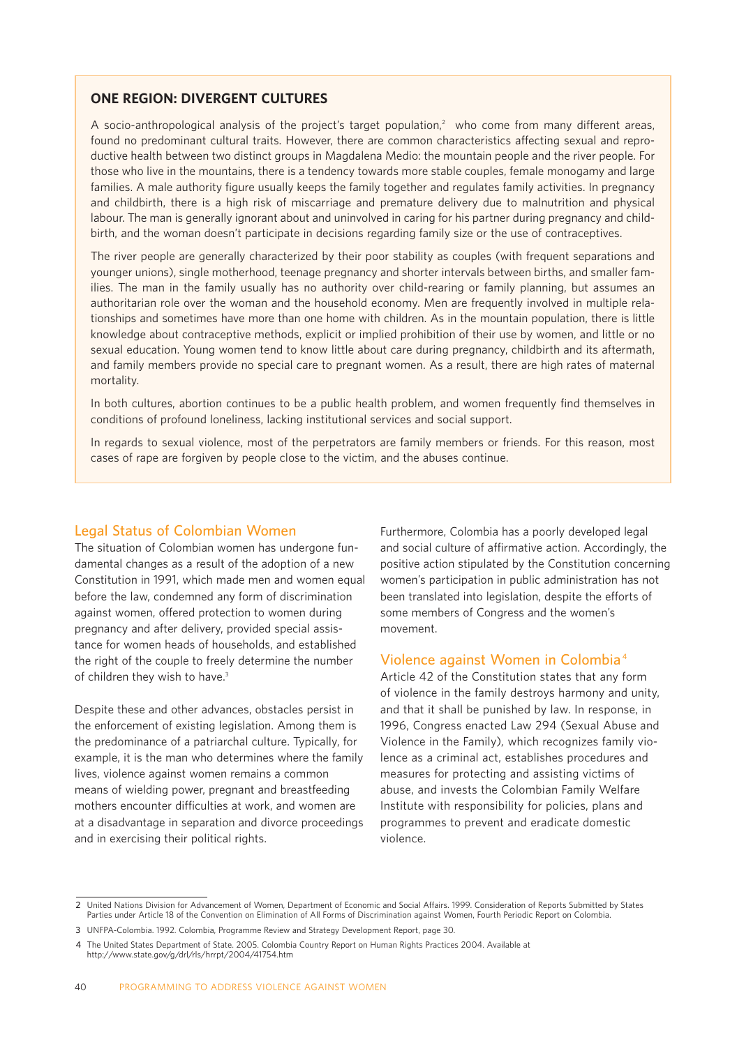## **ONE REGION: DIVERGENT CULTURES**

A socio-anthropological analysis of the project's target population,<sup>2</sup> who come from many different areas, found no predominant cultural traits. However, there are common characteristics affecting sexual and reproductive health between two distinct groups in Magdalena Medio: the mountain people and the river people. For those who live in the mountains, there is a tendency towards more stable couples, female monogamy and large families. A male authority figure usually keeps the family together and regulates family activities. In pregnancy and childbirth, there is a high risk of miscarriage and premature delivery due to malnutrition and physical labour. The man is generally ignorant about and uninvolved in caring for his partner during pregnancy and childbirth, and the woman doesn't participate in decisions regarding family size or the use of contraceptives.

The river people are generally characterized by their poor stability as couples (with frequent separations and younger unions), single motherhood, teenage pregnancy and shorter intervals between births, and smaller families. The man in the family usually has no authority over child-rearing or family planning, but assumes an authoritarian role over the woman and the household economy. Men are frequently involved in multiple relationships and sometimes have more than one home with children. As in the mountain population, there is little knowledge about contraceptive methods, explicit or implied prohibition of their use by women, and little or no sexual education. Young women tend to know little about care during pregnancy, childbirth and its aftermath, and family members provide no special care to pregnant women. As a result, there are high rates of maternal mortality.

In both cultures, abortion continues to be a public health problem, and women frequently find themselves in conditions of profound loneliness, lacking institutional services and social support.

In regards to sexual violence, most of the perpetrators are family members or friends. For this reason, most cases of rape are forgiven by people close to the victim, and the abuses continue.

## **Legal Status of Colombian Women**

The situation of Colombian women has undergone fundamental changes as a result of the adoption of a new Constitution in 1991, which made men and women equal before the law, condemned any form of discrimination against women, offered protection to women during pregnancy and after delivery, provided special assistance for women heads of households, and established the right of the couple to freely determine the number of children they wish to have.<sup>3</sup>

Despite these and other advances, obstacles persist in the enforcement of existing legislation. Among them is the predominance of a patriarchal culture. Typically, for example, it is the man who determines where the family lives, violence against women remains a common means of wielding power, pregnant and breastfeeding mothers encounter difficulties at work, and women are at a disadvantage in separation and divorce proceedings and in exercising their political rights.

Furthermore, Colombia has a poorly developed legal and social culture of affirmative action. Accordingly, the positive action stipulated by the Constitution concerning women's participation in public administration has not been translated into legislation, despite the efforts of some members of Congress and the women's movement.

## **Violence against Women in Colombia <sup>4</sup>**

Article 42 of the Constitution states that any form of violence in the family destroys harmony and unity, and that it shall be punished by law. In response, in 1996, Congress enacted Law 294 (Sexual Abuse and Violence in the Family)*,* which recognizes family violence as a criminal act, establishes procedures and measures for protecting and assisting victims of abuse, and invests the Colombian Family Welfare Institute with responsibility for policies, plans and programmes to prevent and eradicate domestic violence.

**<sup>2</sup>** United Nations Division for Advancement of Women, Department of Economic and Social Affairs. 1999. Consideration of Reports Submitted by States Parties under Article 18 of the Convention on Elimination of All Forms of Discrimination against Women, Fourth Periodic Report on Colombia.

**<sup>3</sup>** UNFPA-Colombia. 1992. Colombia, Programme Review and Strategy Development Report, page 30.

**<sup>4</sup>** The United States Department of State. 2005. Colombia Country Report on Human Rights Practices 2004. Available at http://www.state.gov/g/drl/rls/hrrpt/2004/41754.htm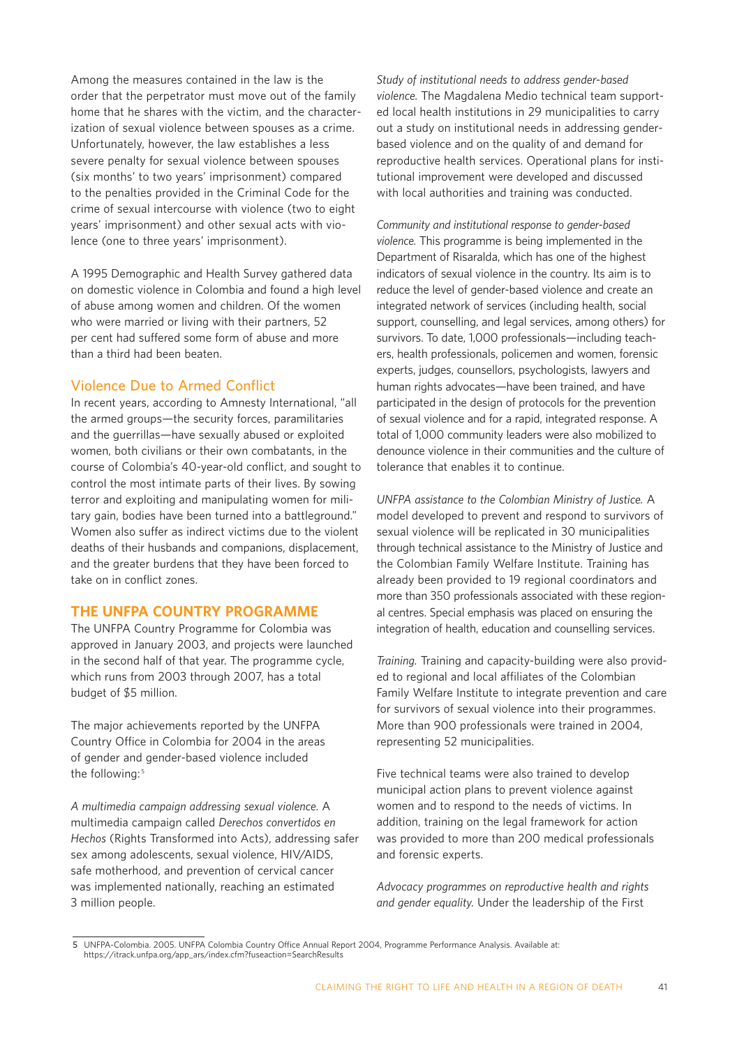Among the measures contained in the law is the order that the perpetrator must move out of the family home that he shares with the victim, and the characterization of sexual violence between spouses as a crime. Unfortunately, however, the law establishes a less severe penalty for sexual violence between spouses (six months' to two years' imprisonment) compared to the penalties provided in the Criminal Code for the crime of sexual intercourse with violence (two to eight years' imprisonment) and other sexual acts with violence (one to three years' imprisonment).

A 1995 Demographic and Health Survey gathered data on domestic violence in Colombia and found a high level of abuse among women and children. Of the women who were married or living with their partners, 52 per cent had suffered some form of abuse and more than a third had been beaten.

## **Violence Due to Armed Conflict**

In recent years, according to Amnesty International, "all the armed groups—the security forces, paramilitaries and the guerrillas—have sexually abused or exploited women, both civilians or their own combatants, in the course of Colombia's 40-year-old conflict, and sought to control the most intimate parts of their lives. By sowing terror and exploiting and manipulating women for military gain, bodies have been turned into a battleground." Women also suffer as indirect victims due to the violent deaths of their husbands and companions, displacement, and the greater burdens that they have been forced to take on in conflict zones.

## **THE UNFPA COUNTRY PROGRAMME**

The UNFPA Country Programme for Colombia was approved in January 2003, and projects were launched in the second half of that year. The programme cycle, which runs from 2003 through 2007, has a total budget of \$5 million.

The major achievements reported by the UNFPA Country Office in Colombia for 2004 in the areas of gender and gender-based violence included the following:<sup>5</sup>

*A multimedia campaign addressing sexual violence.* A multimedia campaign called *Derechos convertidos en Hechos* (Rights Transformed into Acts), addressing safer sex among adolescents, sexual violence, HIV/AIDS, safe motherhood, and prevention of cervical cancer was implemented nationally, reaching an estimated 3 million people.

*Study of institutional needs to address gender-based violence.* The Magdalena Medio technical team supported local health institutions in 29 municipalities to carry out a study on institutional needs in addressing genderbased violence and on the quality of and demand for reproductive health services. Operational plans for institutional improvement were developed and discussed with local authorities and training was conducted.

*Community and institutional response to gender-based violence.* This programme is being implemented in the Department of Risaralda, which has one of the highest indicators of sexual violence in the country. Its aim is to reduce the level of gender-based violence and create an integrated network of services (including health, social support, counselling, and legal services, among others) for survivors. To date, 1,000 professionals—including teachers, health professionals, policemen and women, forensic experts, judges, counsellors, psychologists, lawyers and human rights advocates—have been trained, and have participated in the design of protocols for the prevention of sexual violence and for a rapid, integrated response. A total of 1,000 community leaders were also mobilized to denounce violence in their communities and the culture of tolerance that enables it to continue.

*UNFPA assistance to the Colombian Ministry of Justice.* A model developed to prevent and respond to survivors of sexual violence will be replicated in 30 municipalities through technical assistance to the Ministry of Justice and the Colombian Family Welfare Institute. Training has already been provided to 19 regional coordinators and more than 350 professionals associated with these regional centres. Special emphasis was placed on ensuring the integration of health, education and counselling services.

*Training.* Training and capacity-building were also provided to regional and local affiliates of the Colombian Family Welfare Institute to integrate prevention and care for survivors of sexual violence into their programmes. More than 900 professionals were trained in 2004, representing 52 municipalities.

Five technical teams were also trained to develop municipal action plans to prevent violence against women and to respond to the needs of victims. In addition, training on the legal framework for action was provided to more than 200 medical professionals and forensic experts.

*Advocacy programmes on reproductive health and rights and gender equality.* Under the leadership of the First

**<sup>5</sup>** UNFPA-Colombia. 2005. UNFPA Colombia Country Office Annual Report 2004, Programme Performance Analysis. Available at: https://itrack.unfpa.org/app\_ars/index.cfm?fuseaction=SearchResults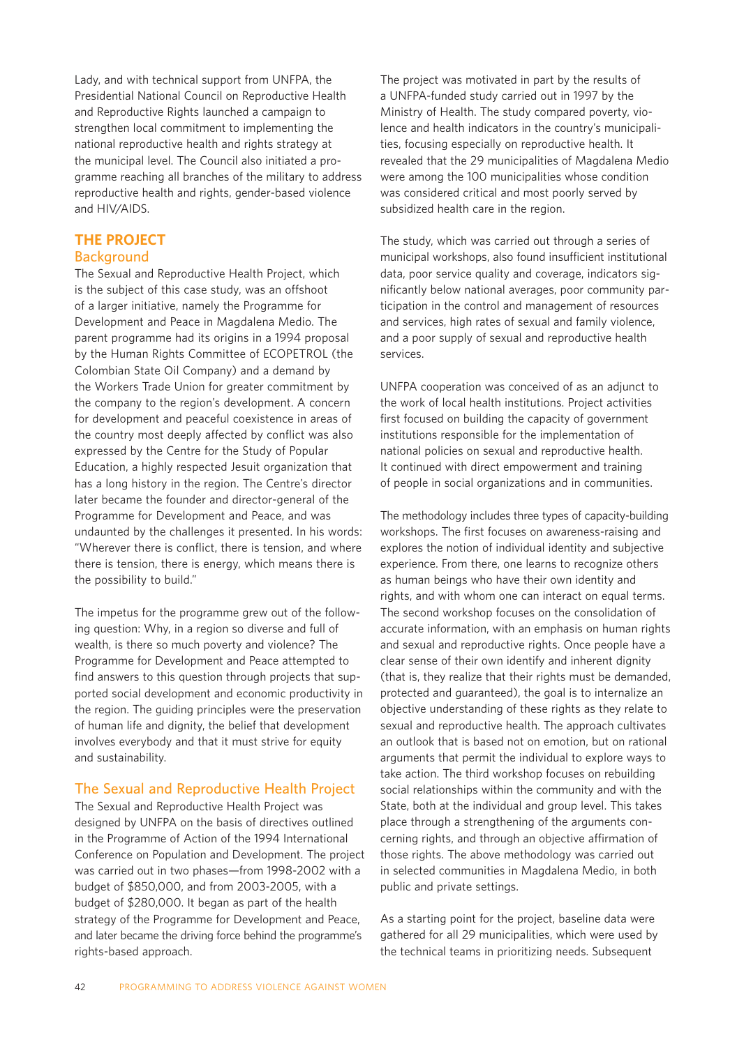Lady, and with technical support from UNFPA, the Presidential National Council on Reproductive Health and Reproductive Rights launched a campaign to strengthen local commitment to implementing the national reproductive health and rights strategy at the municipal level. The Council also initiated a programme reaching all branches of the military to address reproductive health and rights, gender-based violence and HIV/AIDS.

## **THE PROJECT Background**

The Sexual and Reproductive Health Project, which is the subject of this case study, was an offshoot of a larger initiative, namely the Programme for Development and Peace in Magdalena Medio. The parent programme had its origins in a 1994 proposal by the Human Rights Committee of ECOPETROL (the Colombian State Oil Company) and a demand by the Workers Trade Union for greater commitment by the company to the region's development. A concern for development and peaceful coexistence in areas of the country most deeply affected by conflict was also expressed by the Centre for the Study of Popular Education, a highly respected Jesuit organization that has a long history in the region. The Centre's director later became the founder and director-general of the Programme for Development and Peace, and was undaunted by the challenges it presented. In his words: "Wherever there is conflict, there is tension, and where there is tension, there is energy, which means there is the possibility to build."

The impetus for the programme grew out of the following question: Why, in a region so diverse and full of wealth, is there so much poverty and violence? The Programme for Development and Peace attempted to find answers to this question through projects that supported social development and economic productivity in the region. The guiding principles were the preservation of human life and dignity, the belief that development involves everybody and that it must strive for equity and sustainability.

## **The Sexual and Reproductive Health Project**

The Sexual and Reproductive Health Project was designed by UNFPA on the basis of directives outlined in the Programme of Action of the 1994 International Conference on Population and Development. The project was carried out in two phases—from 1998-2002 with a budget of \$850,000, and from 2003-2005, with a budget of \$280,000. It began as part of the health strategy of the Programme for Development and Peace, and later became the driving force behind the programme's rights-based approach.

The project was motivated in part by the results of a UNFPA-funded study carried out in 1997 by the Ministry of Health. The study compared poverty, violence and health indicators in the country's municipalities, focusing especially on reproductive health. It revealed that the 29 municipalities of Magdalena Medio were among the 100 municipalities whose condition was considered critical and most poorly served by subsidized health care in the region.

The study, which was carried out through a series of municipal workshops, also found insufficient institutional data, poor service quality and coverage, indicators significantly below national averages, poor community participation in the control and management of resources and services, high rates of sexual and family violence, and a poor supply of sexual and reproductive health services.

UNFPA cooperation was conceived of as an adjunct to the work of local health institutions. Project activities first focused on building the capacity of government institutions responsible for the implementation of national policies on sexual and reproductive health. It continued with direct empowerment and training of people in social organizations and in communities.

The methodology includes three types of capacity-building workshops. The first focuses on awareness-raising and explores the notion of individual identity and subjective experience. From there, one learns to recognize others as human beings who have their own identity and rights, and with whom one can interact on equal terms. The second workshop focuses on the consolidation of accurate information, with an emphasis on human rights and sexual and reproductive rights. Once people have a clear sense of their own identify and inherent dignity (that is, they realize that their rights must be demanded, protected and guaranteed), the goal is to internalize an objective understanding of these rights as they relate to sexual and reproductive health. The approach cultivates an outlook that is based not on emotion, but on rational arguments that permit the individual to explore ways to take action. The third workshop focuses on rebuilding social relationships within the community and with the State, both at the individual and group level. This takes place through a strengthening of the arguments concerning rights, and through an objective affirmation of those rights. The above methodology was carried out in selected communities in Magdalena Medio, in both public and private settings.

As a starting point for the project, baseline data were gathered for all 29 municipalities, which were used by the technical teams in prioritizing needs. Subsequent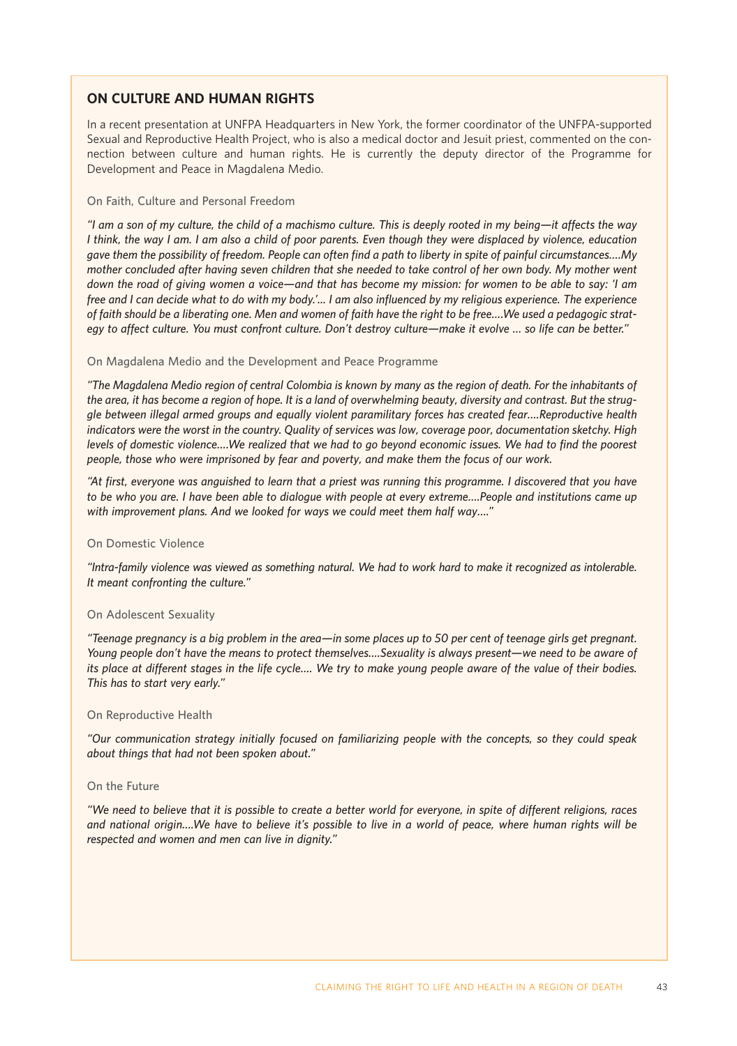## **ON CULTURE AND HUMAN RIGHTS**

In a recent presentation at UNFPA Headquarters in New York, the former coordinator of the UNFPA-supported Sexual and Reproductive Health Project, who is also a medical doctor and Jesuit priest, commented on the connection between culture and human rights. He is currently the deputy director of the Programme for Development and Peace in Magdalena Medio.

#### **On Faith, Culture and Personal Freedom**

*"I am a son of my culture, the child of a machismo culture. This is deeply rooted in my being—it affects the way I think, the way I am. I am also a child of poor parents. Even though they were displaced by violence, education gave them the possibility of freedom. People can often find a path to liberty in spite of painful circumstances….My mother concluded after having seven children that she needed to take control of her own body. My mother went down the road of giving women a voice—and that has become my mission: for women to be able to say: 'I am free and I can decide what to do with my body.'... I am also influenced by my religious experience. The experience of faith should be a liberating one. Men and women of faith have the right to be free….We used a pedagogic strategy to affect culture. You must confront culture. Don't destroy culture—make it evolve … so life can be better."*

#### **On Magdalena Medio and the Development and Peace Programme**

*"The Magdalena Medio region of central Colombia is known by many as the region of death. For the inhabitants of the area, it has become a region of hope. It is a land of overwhelming beauty, diversity and contrast. But the struggle between illegal armed groups and equally violent paramilitary forces has created fear….Reproductive health indicators were the worst in the country. Quality of services was low, coverage poor, documentation sketchy. High levels of domestic violence….We realized that we had to go beyond economic issues. We had to find the poorest people, those who were imprisoned by fear and poverty, and make them the focus of our work.*

*"At first, everyone was anguished to learn that a priest was running this programme. I discovered that you have to be who you are. I have been able to dialogue with people at every extreme….People and institutions came up with improvement plans. And we looked for ways we could meet them half way…."*

#### **On Domestic Violence**

*"Intra-family violence was viewed as something natural. We had to work hard to make it recognized as intolerable. It meant confronting the culture."*

#### **On Adolescent Sexuality**

*"Teenage pregnancy is a big problem in the area—in some places up to 50 per cent of teenage girls get pregnant. Young people don't have the means to protect themselves….Sexuality is always present—we need to be aware of its place at different stages in the life cycle…. We try to make young people aware of the value of their bodies. This has to start very early."*

#### **On Reproductive Health**

*"Our communication strategy initially focused on familiarizing people with the concepts, so they could speak about things that had not been spoken about."*

#### **On the Future**

*"We need to believe that it is possible to create a better world for everyone, in spite of different religions, races and national origin….We have to believe it's possible to live in a world of peace, where human rights will be respected and women and men can live in dignity."*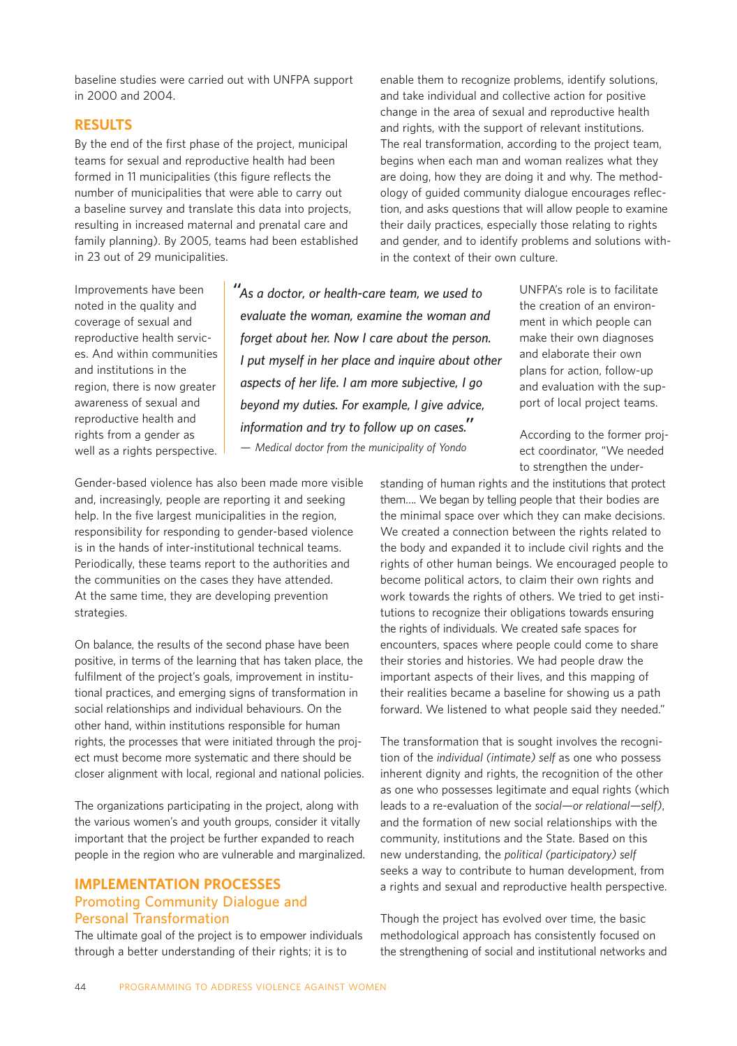baseline studies were carried out with UNFPA support in 2000 and 2004.

## **RESULTS**

By the end of the first phase of the project, municipal teams for sexual and reproductive health had been formed in 11 municipalities (this figure reflects the number of municipalities that were able to carry out a baseline survey and translate this data into projects, resulting in increased maternal and prenatal care and family planning). By 2005, teams had been established in 23 out of 29 municipalities.

enable them to recognize problems, identify solutions, and take individual and collective action for positive change in the area of sexual and reproductive health and rights, with the support of relevant institutions. The real transformation, according to the project team, begins when each man and woman realizes what they are doing, how they are doing it and why. The methodology of guided community dialogue encourages reflection, and asks questions that will allow people to examine their daily practices, especially those relating to rights and gender, and to identify problems and solutions within the context of their own culture.

Improvements have been noted in the quality and coverage of sexual and reproductive health services. And within communities and institutions in the region, there is now greater awareness of sexual and reproductive health and rights from a gender as well as a rights perspective.

*"As a doctor, or health-care team, we used to evaluate the woman, examine the woman and forget about her. Now I care about the person. I put myself in her place and inquire about other aspects of her life. I am more subjective, I go beyond my duties. For example, I give advice, information and try to follow up on cases." — Medical doctor from the municipality of Yondo*

UNFPA's role is to facilitate the creation of an environment in which people can make their own diagnoses and elaborate their own plans for action, follow-up and evaluation with the support of local project teams.

According to the former project coordinator, "We needed to strengthen the under-

Gender-based violence has also been made more visible and, increasingly, people are reporting it and seeking help. In the five largest municipalities in the region, responsibility for responding to gender-based violence is in the hands of inter-institutional technical teams. Periodically, these teams report to the authorities and the communities on the cases they have attended. At the same time, they are developing prevention strategies.

On balance, the results of the second phase have been positive, in terms of the learning that has taken place, the fulfilment of the project's goals, improvement in institutional practices, and emerging signs of transformation in social relationships and individual behaviours. On the other hand, within institutions responsible for human rights, the processes that were initiated through the project must become more systematic and there should be closer alignment with local, regional and national policies.

The organizations participating in the project, along with the various women's and youth groups, consider it vitally important that the project be further expanded to reach people in the region who are vulnerable and marginalized.

## **IMPLEMENTATION PROCESSES Promoting Community Dialogue and Personal Transformation**

The ultimate goal of the project is to empower individuals through a better understanding of their rights; it is to

standing of human rights and the institutions that protect them…. We began by telling people that their bodies are the minimal space over which they can make decisions. We created a connection between the rights related to the body and expanded it to include civil rights and the rights of other human beings. We encouraged people to become political actors, to claim their own rights and work towards the rights of others. We tried to get institutions to recognize their obligations towards ensuring the rights of individuals. We created safe spaces for encounters, spaces where people could come to share their stories and histories. We had people draw the important aspects of their lives, and this mapping of their realities became a baseline for showing us a path forward. We listened to what people said they needed."

The transformation that is sought involves the recognition of the *individual (intimate) self* as one who possess inherent dignity and rights, the recognition of the other as one who possesses legitimate and equal rights (which leads to a re-evaluation of the *social—or relational—self)*, and the formation of new social relationships with the community, institutions and the State. Based on this new understanding, the *political (participatory) self* seeks a way to contribute to human development, from a rights and sexual and reproductive health perspective.

Though the project has evolved over time, the basic methodological approach has consistently focused on the strengthening of social and institutional networks and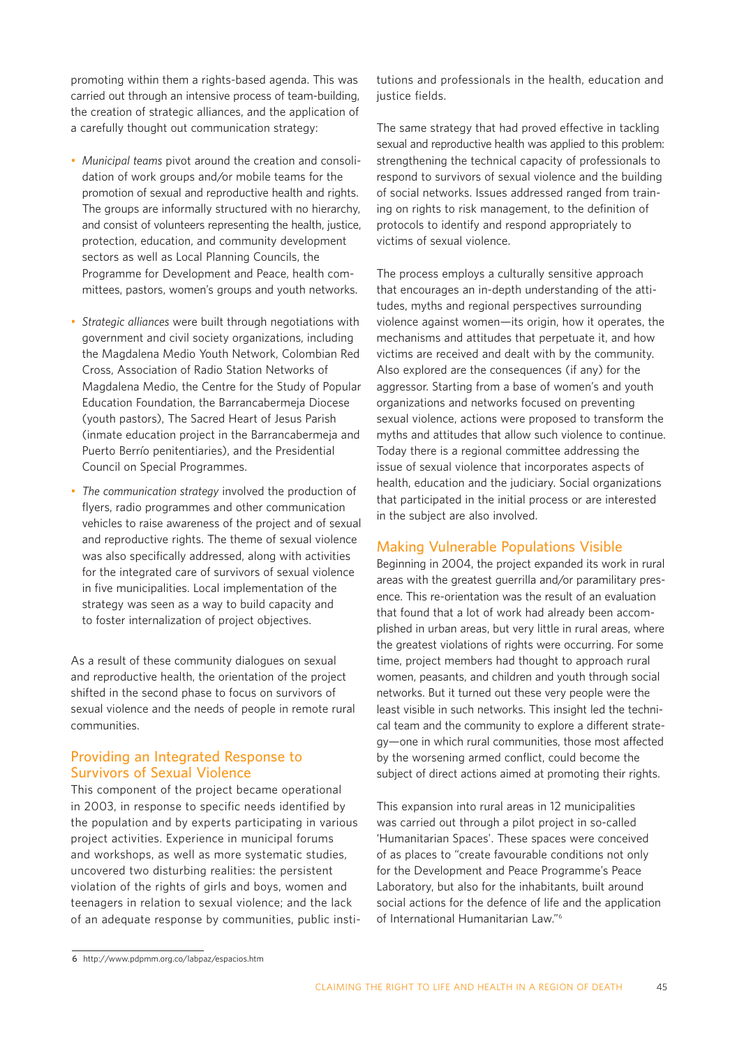promoting within them a rights-based agenda. This was carried out through an intensive process of team-building, the creation of strategic alliances, and the application of a carefully thought out communication strategy:

- *Municipal teams* pivot around the creation and consolidation of work groups and/or mobile teams for the promotion of sexual and reproductive health and rights. The groups are informally structured with no hierarchy, and consist of volunteers representing the health, justice, protection, education, and community development sectors as well as Local Planning Councils, the Programme for Development and Peace, health committees, pastors, women's groups and youth networks.
- *Strategic alliances* were built through negotiations with government and civil society organizations, including the Magdalena Medio Youth Network, Colombian Red Cross, Association of Radio Station Networks of Magdalena Medio, the Centre for the Study of Popular Education Foundation, the Barrancabermeja Diocese (youth pastors), The Sacred Heart of Jesus Parish (inmate education project in the Barrancabermeja and Puerto Berrío penitentiaries), and the Presidential Council on Special Programmes.
- *The communication strategy* involved the production of flyers, radio programmes and other communication vehicles to raise awareness of the project and of sexual and reproductive rights. The theme of sexual violence was also specifically addressed, along with activities for the integrated care of survivors of sexual violence in five municipalities. Local implementation of the strategy was seen as a way to build capacity and to foster internalization of project objectives.

As a result of these community dialogues on sexual and reproductive health, the orientation of the project shifted in the second phase to focus on survivors of sexual violence and the needs of people in remote rural communities.

## **Providing an Integrated Response to Survivors of Sexual Violence**

This component of the project became operational in 2003, in response to specific needs identified by the population and by experts participating in various project activities. Experience in municipal forums and workshops, as well as more systematic studies, uncovered two disturbing realities: the persistent violation of the rights of girls and boys, women and teenagers in relation to sexual violence; and the lack of an adequate response by communities, public institutions and professionals in the health, education and justice fields.

The same strategy that had proved effective in tackling sexual and reproductive health was applied to this problem: strengthening the technical capacity of professionals to respond to survivors of sexual violence and the building of social networks. Issues addressed ranged from training on rights to risk management, to the definition of protocols to identify and respond appropriately to victims of sexual violence.

The process employs a culturally sensitive approach that encourages an in-depth understanding of the attitudes, myths and regional perspectives surrounding violence against women—its origin, how it operates, the mechanisms and attitudes that perpetuate it, and how victims are received and dealt with by the community. Also explored are the consequences (if any) for the aggressor. Starting from a base of women's and youth organizations and networks focused on preventing sexual violence, actions were proposed to transform the myths and attitudes that allow such violence to continue. Today there is a regional committee addressing the issue of sexual violence that incorporates aspects of health, education and the judiciary. Social organizations that participated in the initial process or are interested in the subject are also involved.

## **Making Vulnerable Populations Visible**

Beginning in 2004, the project expanded its work in rural areas with the greatest guerrilla and/or paramilitary presence. This re-orientation was the result of an evaluation that found that a lot of work had already been accomplished in urban areas, but very little in rural areas, where the greatest violations of rights were occurring. For some time, project members had thought to approach rural women, peasants, and children and youth through social networks. But it turned out these very people were the least visible in such networks. This insight led the technical team and the community to explore a different strategy—one in which rural communities, those most affected by the worsening armed conflict, could become the subject of direct actions aimed at promoting their rights.

This expansion into rural areas in 12 municipalities was carried out through a pilot project in so-called 'Humanitarian Spaces'. These spaces were conceived of as places to "create favourable conditions not only for the Development and Peace Programme's Peace Laboratory, but also for the inhabitants, built around social actions for the defence of life and the application of International Humanitarian Law."6

**<sup>6</sup>** http://www.pdpmm.org.co/labpaz/espacios.htm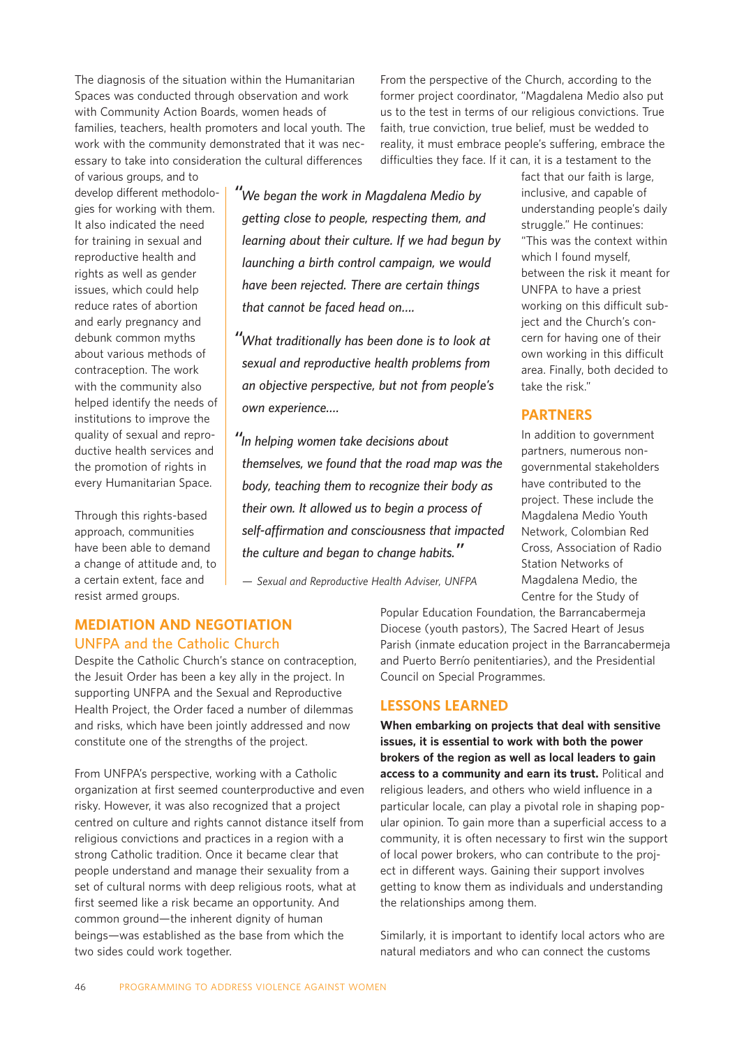The diagnosis of the situation within the Humanitarian Spaces was conducted through observation and work with Community Action Boards, women heads of families, teachers, health promoters and local youth. The work with the community demonstrated that it was necessary to take into consideration the cultural differences

From the perspective of the Church, according to the former project coordinator, "Magdalena Medio also put us to the test in terms of our religious convictions. True faith, true conviction, true belief, must be wedded to reality, it must embrace people's suffering, embrace the difficulties they face. If it can, it is a testament to the

of various groups, and to develop different methodologies for working with them. It also indicated the need for training in sexual and reproductive health and rights as well as gender issues, which could help reduce rates of abortion and early pregnancy and debunk common myths about various methods of contraception. The work with the community also helped identify the needs of institutions to improve the quality of sexual and reproductive health services and the promotion of rights in every Humanitarian Space.

Through this rights-based approach, communities have been able to demand a change of attitude and, to a certain extent, face and resist armed groups.

*"We began the work in Magdalena Medio by getting close to people, respecting them, and learning about their culture. If we had begun by launching a birth control campaign, we would have been rejected. There are certain things that cannot be faced head on….*

*"What traditionally has been done is to look at sexual and reproductive health problems from an objective perspective, but not from people's own experience….*

*"In helping women take decisions about themselves, we found that the road map was the body, teaching them to recognize their body as their own. It allowed us to begin a process of self-affirmation and consciousness that impacted the culture and began to change habits."*

*— Sexual and Reproductive Health Adviser, UNFPA*

# **MEDIATION AND NEGOTIATION UNFPA and the Catholic Church**

Despite the Catholic Church's stance on contraception, the Jesuit Order has been a key ally in the project. In supporting UNFPA and the Sexual and Reproductive Health Project, the Order faced a number of dilemmas and risks, which have been jointly addressed and now constitute one of the strengths of the project.

From UNFPA's perspective, working with a Catholic organization at first seemed counterproductive and even risky. However, it was also recognized that a project centred on culture and rights cannot distance itself from religious convictions and practices in a region with a strong Catholic tradition. Once it became clear that people understand and manage their sexuality from a set of cultural norms with deep religious roots, what at first seemed like a risk became an opportunity. And common ground—the inherent dignity of human beings—was established as the base from which the two sides could work together.

fact that our faith is large, inclusive, and capable of understanding people's daily struggle." He continues: "This was the context within which I found myself, between the risk it meant for UNFPA to have a priest working on this difficult subject and the Church's concern for having one of their own working in this difficult area. Finally, both decided to take the risk."

# **PARTNERS**

In addition to government partners, numerous nongovernmental stakeholders have contributed to the project. These include the Magdalena Medio Youth Network, Colombian Red Cross, Association of Radio Station Networks of Magdalena Medio, the Centre for the Study of

Popular Education Foundation, the Barrancabermeja Diocese (youth pastors), The Sacred Heart of Jesus Parish (inmate education project in the Barrancabermeja and Puerto Berrío penitentiaries), and the Presidential Council on Special Programmes.

# **LESSONS LEARNED**

**When embarking on projects that deal with sensitive issues, it is essential to work with both the power brokers of the region as well as local leaders to gain access to a community and earn its trust.** Political and religious leaders, and others who wield influence in a particular locale, can play a pivotal role in shaping popular opinion. To gain more than a superficial access to a community, it is often necessary to first win the support of local power brokers, who can contribute to the project in different ways. Gaining their support involves getting to know them as individuals and understanding the relationships among them.

Similarly, it is important to identify local actors who are natural mediators and who can connect the customs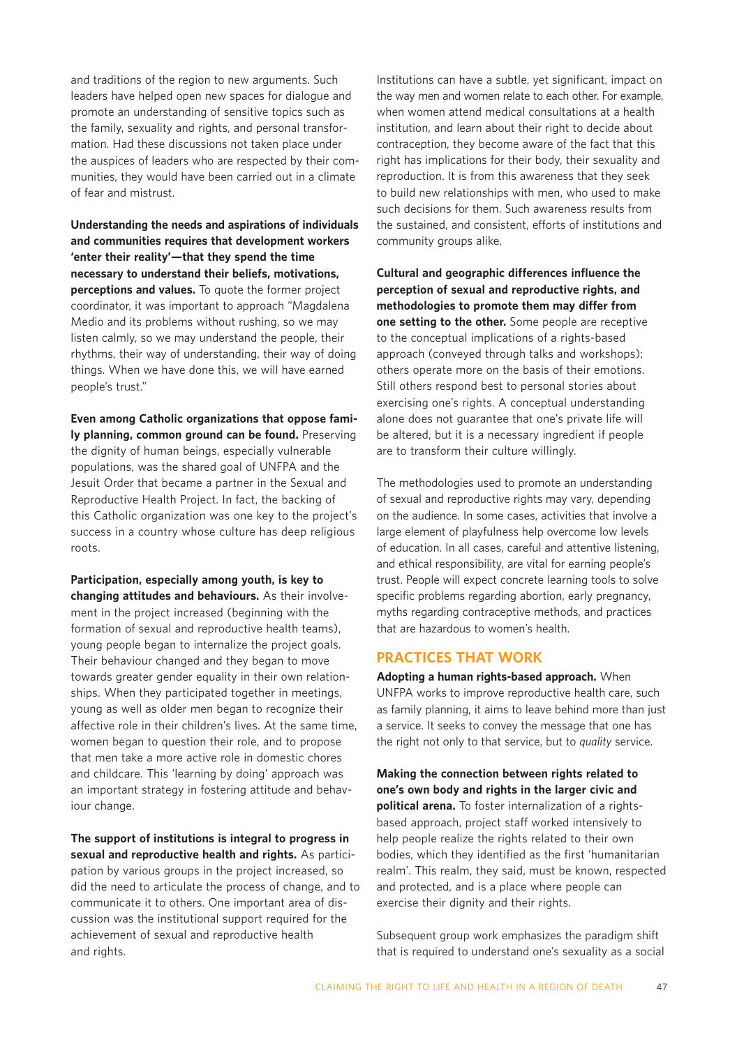and traditions of the region to new arguments. Such leaders have helped open new spaces for dialogue and promote an understanding of sensitive topics such as the family, sexuality and rights, and personal transformation. Had these discussions not taken place under the auspices of leaders who are respected by their communities, they would have been carried out in a climate of fear and mistrust.

**Understanding the needs and aspirations of individuals and communities requires that development workers 'enter their reality'—that they spend the time necessary to understand their beliefs, motivations, perceptions and values.** To quote the former project coordinator, it was important to approach "Magdalena Medio and its problems without rushing, so we may listen calmly, so we may understand the people, their rhythms, their way of understanding, their way of doing things. When we have done this, we will have earned people's trust."

**Even among Catholic organizations that oppose family planning, common ground can be found.** Preserving the dignity of human beings, especially vulnerable populations, was the shared goal of UNFPA and the Jesuit Order that became a partner in the Sexual and Reproductive Health Project. In fact, the backing of this Catholic organization was one key to the project's success in a country whose culture has deep religious roots.

**Participation, especially among youth, is key to changing attitudes and behaviours.** As their involvement in the project increased (beginning with the formation of sexual and reproductive health teams), young people began to internalize the project goals. Their behaviour changed and they began to move towards greater gender equality in their own relationships. When they participated together in meetings, young as well as older men began to recognize their affective role in their children's lives. At the same time, women began to question their role, and to propose that men take a more active role in domestic chores and childcare. This 'learning by doing' approach was an important strategy in fostering attitude and behaviour change.

**The support of institutions is integral to progress in sexual and reproductive health and rights.** As participation by various groups in the project increased, so did the need to articulate the process of change, and to communicate it to others. One important area of discussion was the institutional support required for the achievement of sexual and reproductive health and rights.

Institutions can have a subtle, yet significant, impact on the way men and women relate to each other. For example, when women attend medical consultations at a health institution, and learn about their right to decide about contraception, they become aware of the fact that this right has implications for their body, their sexuality and reproduction. It is from this awareness that they seek to build new relationships with men, who used to make such decisions for them. Such awareness results from the sustained, and consistent, efforts of institutions and community groups alike.

**Cultural and geographic differences influence the perception of sexual and reproductive rights, and methodologies to promote them may differ from one setting to the other.** Some people are receptive to the conceptual implications of a rights-based approach (conveyed through talks and workshops); others operate more on the basis of their emotions. Still others respond best to personal stories about exercising one's rights. A conceptual understanding alone does not guarantee that one's private life will be altered, but it is a necessary ingredient if people are to transform their culture willingly.

The methodologies used to promote an understanding of sexual and reproductive rights may vary, depending on the audience. In some cases, activities that involve a large element of playfulness help overcome low levels of education. In all cases, careful and attentive listening, and ethical responsibility, are vital for earning people's trust. People will expect concrete learning tools to solve specific problems regarding abortion, early pregnancy, myths regarding contraceptive methods, and practices that are hazardous to women's health.

## **PRACTICES THAT WORK**

**Adopting a human rights-based approach.** When UNFPA works to improve reproductive health care, such as family planning, it aims to leave behind more than just a service. It seeks to convey the message that one has the right not only to that service, but to *quality* service.

**Making the connection between rights related to one's own body and rights in the larger civic and political arena.** To foster internalization of a rightsbased approach, project staff worked intensively to help people realize the rights related to their own bodies, which they identified as the first 'humanitarian realm'. This realm, they said, must be known, respected and protected, and is a place where people can exercise their dignity and their rights.

Subsequent group work emphasizes the paradigm shift that is required to understand one's sexuality as a social